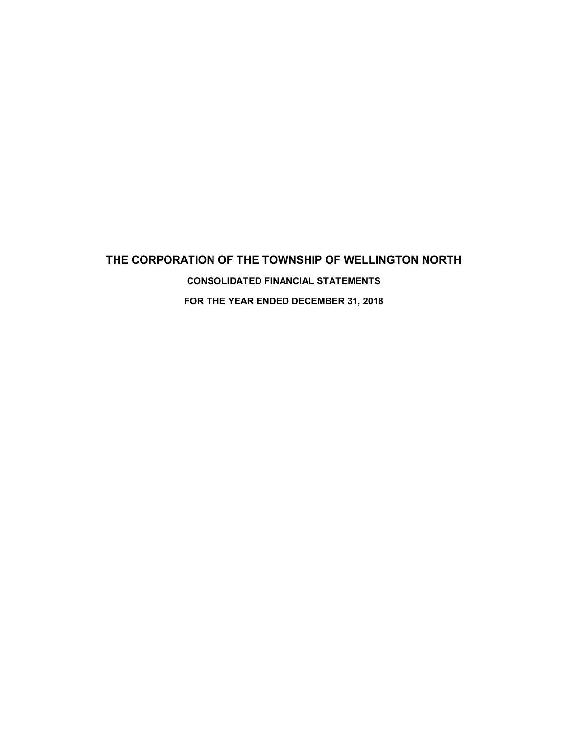# **THE CORPORATION OF THE TOWNSHIP OF WELLINGTON NORTH CONSOLIDATED FINANCIAL STATEMENTS FOR THE YEAR ENDED DECEMBER 31, 2018**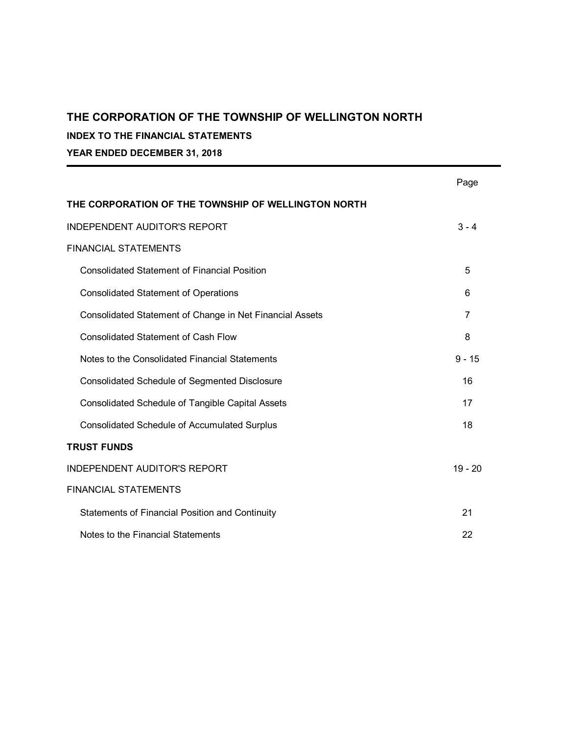## **INDEX TO THE FINANCIAL STATEMENTS**

**YEAR ENDED DECEMBER 31, 2018**

|                                                          | Page      |
|----------------------------------------------------------|-----------|
| THE CORPORATION OF THE TOWNSHIP OF WELLINGTON NORTH      |           |
| <b>INDEPENDENT AUDITOR'S REPORT</b>                      | $3 - 4$   |
| <b>FINANCIAL STATEMENTS</b>                              |           |
| <b>Consolidated Statement of Financial Position</b>      | 5         |
| <b>Consolidated Statement of Operations</b>              | 6         |
| Consolidated Statement of Change in Net Financial Assets | 7         |
| <b>Consolidated Statement of Cash Flow</b>               | 8         |
| Notes to the Consolidated Financial Statements           | $9 - 15$  |
| <b>Consolidated Schedule of Segmented Disclosure</b>     | 16        |
| <b>Consolidated Schedule of Tangible Capital Assets</b>  | 17        |
| <b>Consolidated Schedule of Accumulated Surplus</b>      | 18        |
| <b>TRUST FUNDS</b>                                       |           |
| <b>INDEPENDENT AUDITOR'S REPORT</b>                      | $19 - 20$ |
| <b>FINANCIAL STATEMENTS</b>                              |           |
| <b>Statements of Financial Position and Continuity</b>   | 21        |
| Notes to the Financial Statements                        | 22        |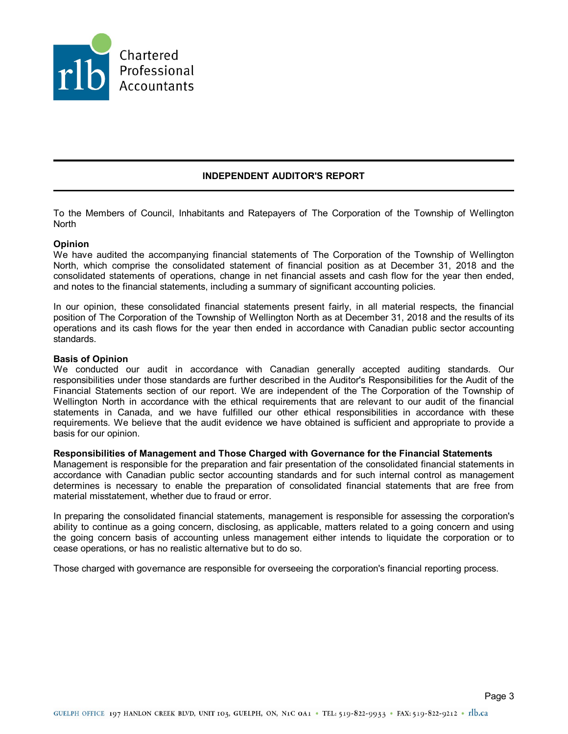

## **INDEPENDENT AUDITOR'S REPORT**

To the Members of Council, Inhabitants and Ratepayers of The Corporation of the Township of Wellington North

### **Opinion**

We have audited the accompanying financial statements of The Corporation of the Township of Wellington North, which comprise the consolidated statement of financial position as at December 31, 2018 and the consolidated statements of operations, change in net financial assets and cash flow for the year then ended, and notes to the financial statements, including a summary of significant accounting policies.

In our opinion, these consolidated financial statements present fairly, in all material respects, the financial position of The Corporation of the Township of Wellington North as at December 31, 2018 and the results of its operations and its cash flows for the year then ended in accordance with Canadian public sector accounting standards.

#### **Basis of Opinion**

We conducted our audit in accordance with Canadian generally accepted auditing standards. Our responsibilities under those standards are further described in the Auditor's Responsibilities for the Audit of the Financial Statements section of our report. We are independent of the The Corporation of the Township of Wellington North in accordance with the ethical requirements that are relevant to our audit of the financial statements in Canada, and we have fulfilled our other ethical responsibilities in accordance with these requirements. We believe that the audit evidence we have obtained is sufficient and appropriate to provide a basis for our opinion.

### **Responsibilities of Management and Those Charged with Governance for the Financial Statements**

Management is responsible for the preparation and fair presentation of the consolidated financial statements in accordance with Canadian public sector accounting standards and for such internal control as management determines is necessary to enable the preparation of consolidated financial statements that are free from material misstatement, whether due to fraud or error.

In preparing the consolidated financial statements, management is responsible for assessing the corporation's ability to continue as a going concern, disclosing, as applicable, matters related to a going concern and using the going concern basis of accounting unless management either intends to liquidate the corporation or to cease operations, or has no realistic alternative but to do so.

Those charged with governance are responsible for overseeing the corporation's financial reporting process.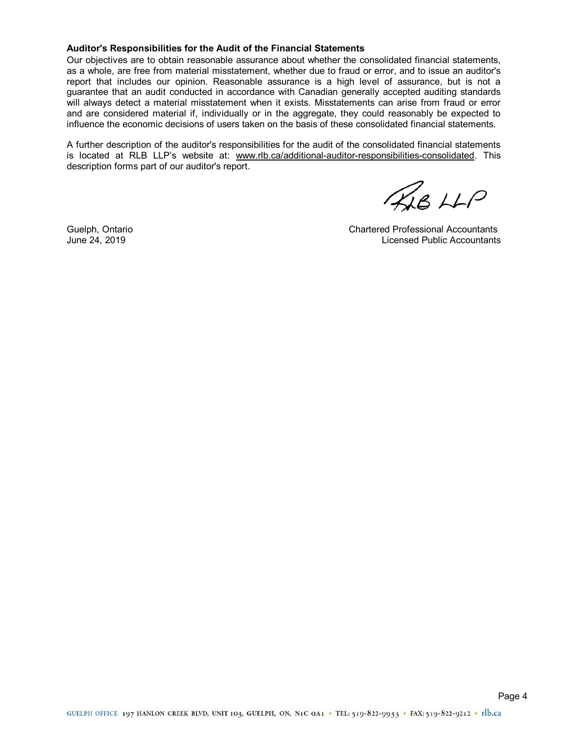#### **Auditor's Responsibilities for the Audit of the Financial Statements**

Our objectives are to obtain reasonable assurance about whether the consolidated financial statements, as a whole, are free from material misstatement, whether due to fraud or error, and to issue an auditor's report that includes our opinion. Reasonable assurance is a high level of assurance, but is not a guarantee that an audit conducted in accordance with Canadian generally accepted auditing standards will always detect a material misstatement when it exists. Misstatements can arise from fraud or error and are considered material if, individually or in the aggregate, they could reasonably be expected to influence the economic decisions of users taken on the basis of these consolidated financial statements.

A further description of the auditor's responsibilities for the audit of the consolidated financial statements is located at RLB LLP's website at: www.rlb.ca/additional-auditor-responsibilities-consolidated. This description forms part of our auditor's report.

 $48$   $HP$ 

Guelph, Ontario Chartered Professional Accountants June 24, 2019 Licensed Public Accountants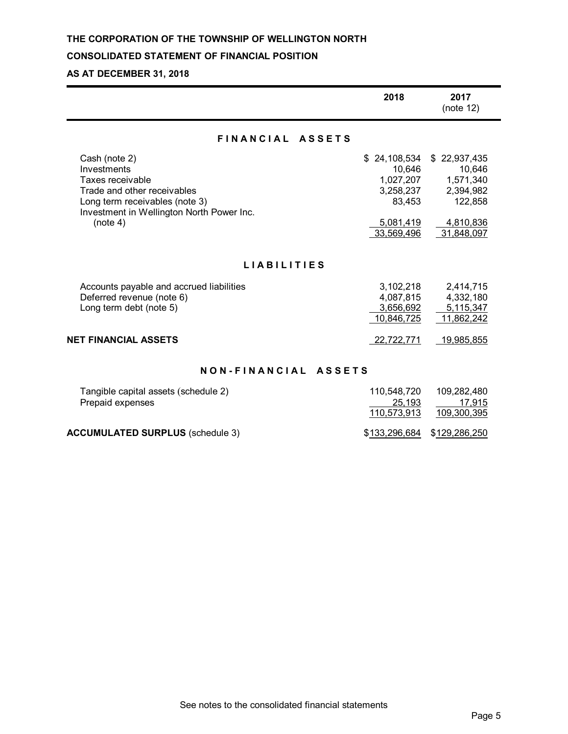## **CONSOLIDATED STATEMENT OF FINANCIAL POSITION**

# **AS AT DECEMBER 31, 2018**

|                                                                                                                                                                            | 2018                                                                                  | 2017<br>(note 12)                                                                      |  |  |
|----------------------------------------------------------------------------------------------------------------------------------------------------------------------------|---------------------------------------------------------------------------------------|----------------------------------------------------------------------------------------|--|--|
| FINANCIAL ASSETS                                                                                                                                                           |                                                                                       |                                                                                        |  |  |
| Cash (note 2)<br>Investments<br>Taxes receivable<br>Trade and other receivables<br>Long term receivables (note 3)<br>Investment in Wellington North Power Inc.<br>(note 4) | \$24,108,534<br>10,646<br>1,027,207<br>3,258,237<br>83,453<br>5,081,419<br>33,569,496 | \$22,937,435<br>10,646<br>1,571,340<br>2,394,982<br>122,858<br>4,810,836<br>31,848,097 |  |  |
| <b>LIABILITIES</b>                                                                                                                                                         |                                                                                       |                                                                                        |  |  |
| Accounts payable and accrued liabilities<br>Deferred revenue (note 6)<br>Long term debt (note 5)                                                                           | 3,102,218<br>4,087,815<br>3,656,692<br>10,846,725                                     | 2,414,715<br>4,332,180<br>5,115,347<br>11,862,242                                      |  |  |
| <b>NET FINANCIAL ASSETS</b>                                                                                                                                                | 22,722,771                                                                            | 19,985,855                                                                             |  |  |
| NON-FINANCIAL ASSETS                                                                                                                                                       |                                                                                       |                                                                                        |  |  |
| Tangible capital assets (schedule 2)<br>Prepaid expenses                                                                                                                   | 110,548,720<br>25,193                                                                 | 109,282,480<br>17,915                                                                  |  |  |

| <b>ACCUMULATED SURPLUS (schedule 3)</b> |  |  |
|-----------------------------------------|--|--|
|-----------------------------------------|--|--|

| See notes to the consolidated financial statements |  |
|----------------------------------------------------|--|
|----------------------------------------------------|--|

110,573,913 109,300,395

\$133,296,684 \$129,286,250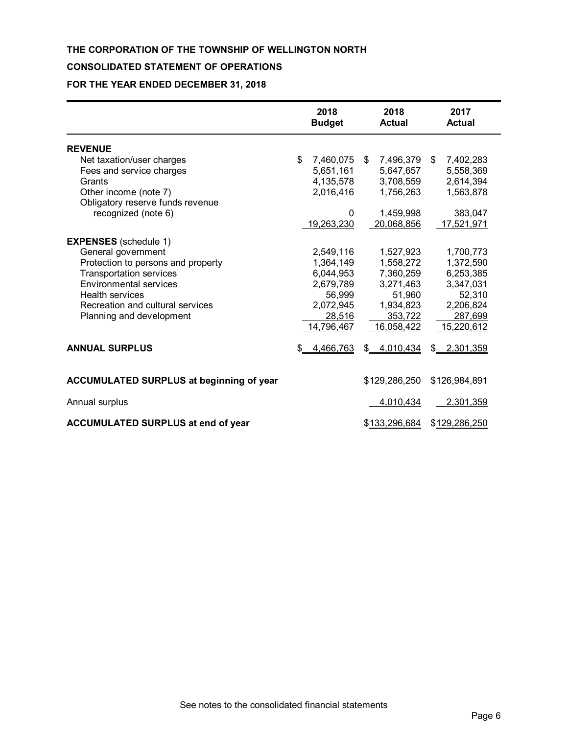## **CONSOLIDATED STATEMENT OF OPERATIONS**

# **FOR THE YEAR ENDED DECEMBER 31, 2018**

|                                                 | 2018<br><b>Budget</b> | 2018<br><b>Actual</b> | 2017<br><b>Actual</b> |
|-------------------------------------------------|-----------------------|-----------------------|-----------------------|
| <b>REVENUE</b>                                  |                       |                       |                       |
| Net taxation/user charges                       | \$<br>7,460,075       | \$<br>7,496,379       | \$<br>7,402,283       |
| Fees and service charges                        | 5,651,161             | 5,647,657             | 5,558,369             |
| Grants                                          | 4,135,578             | 3,708,559             | 2,614,394             |
| Other income (note 7)                           | 2,016,416             | 1,756,263             | 1,563,878             |
| Obligatory reserve funds revenue                |                       |                       |                       |
| recognized (note 6)                             |                       | 1,459,998             | 383,047               |
|                                                 | 19,263,230            | 20,068,856            | 17,521,971            |
| <b>EXPENSES</b> (schedule 1)                    |                       |                       |                       |
| General government                              | 2,549,116             | 1,527,923             | 1,700,773             |
| Protection to persons and property              | 1,364,149             | 1,558,272             | 1,372,590             |
| <b>Transportation services</b>                  | 6,044,953             | 7,360,259             | 6,253,385             |
| <b>Environmental services</b>                   | 2,679,789             | 3,271,463             | 3,347,031             |
| <b>Health services</b>                          | 56,999                | 51,960                | 52,310                |
| Recreation and cultural services                | 2,072,945             | 1,934,823             | 2,206,824             |
| Planning and development                        | 28,516                | 353,722               | 287,699               |
|                                                 | 14,796,467            | 16,058,422            | 15,220,612            |
| <b>ANNUAL SURPLUS</b>                           | \$<br>4,466,763       | \$<br>4,010,434       | \$<br>2,301,359       |
| <b>ACCUMULATED SURPLUS at beginning of year</b> |                       | \$129,286,250         | \$126,984,891         |
| Annual surplus                                  |                       | 4,010,434             | 2,301,359             |
| ACCUMULATED SURPLUS at end of year              |                       | \$133,296,684         | \$129,286,250         |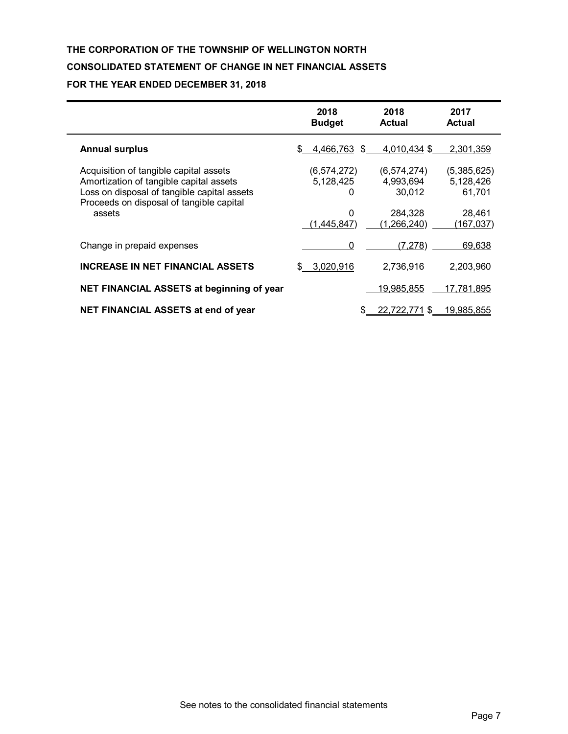# **THE CORPORATION OF THE TOWNSHIP OF WELLINGTON NORTH CONSOLIDATED STATEMENT OF CHANGE IN NET FINANCIAL ASSETS FOR THE YEAR ENDED DECEMBER 31, 2018**

|                                                                                                                                                                                        | 2018<br><b>Budget</b>                                 | 2018<br>Actual                                                   | 2017<br><b>Actual</b>                                      |
|----------------------------------------------------------------------------------------------------------------------------------------------------------------------------------------|-------------------------------------------------------|------------------------------------------------------------------|------------------------------------------------------------|
| <b>Annual surplus</b>                                                                                                                                                                  | 4,466,763 \$<br>\$.                                   | 4,010,434 \$                                                     | 2,301,359                                                  |
| Acquisition of tangible capital assets<br>Amortization of tangible capital assets<br>Loss on disposal of tangible capital assets<br>Proceeds on disposal of tangible capital<br>assets | (6, 574, 272)<br>5,128,425<br>0<br>0<br>(1, 445, 847) | (6, 574, 274)<br>4,993,694<br>30,012<br>284,328<br>(1, 266, 240) | (5,385,625)<br>5,128,426<br>61,701<br>28,461<br>(167, 037) |
| Change in prepaid expenses                                                                                                                                                             | 0                                                     | (7, 278)                                                         | 69,638                                                     |
| <b>INCREASE IN NET FINANCIAL ASSETS</b>                                                                                                                                                | 3,020,916                                             | 2,736,916                                                        | 2,203,960                                                  |
| NET FINANCIAL ASSETS at beginning of year                                                                                                                                              |                                                       | 19,985,855                                                       | 17,781,895                                                 |
| NET FINANCIAL ASSETS at end of year                                                                                                                                                    |                                                       | 22,722,771<br>S                                                  | 19,985,855                                                 |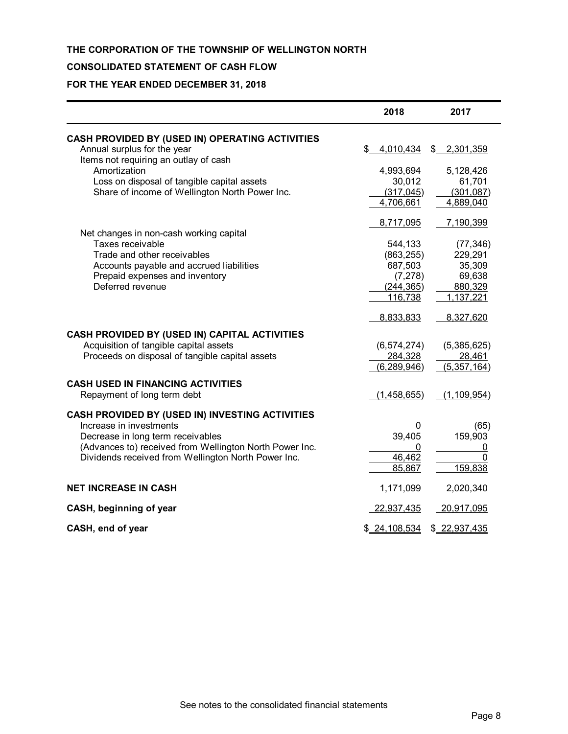## **CONSOLIDATED STATEMENT OF CASH FLOW**

## **FOR THE YEAR ENDED DECEMBER 31, 2018**

|                                                         | 2018          | 2017                   |
|---------------------------------------------------------|---------------|------------------------|
| CASH PROVIDED BY (USED IN) OPERATING ACTIVITIES         |               |                        |
| Annual surplus for the year                             | \$            | 4,010,434 \$ 2,301,359 |
| Items not requiring an outlay of cash<br>Amortization   | 4,993,694     | 5,128,426              |
| Loss on disposal of tangible capital assets             | 30,012        | 61,701                 |
| Share of income of Wellington North Power Inc.          | (317, 045)    | (301, 087)             |
|                                                         | 4,706,661     | 4,889,040              |
|                                                         | 8,717,095     | 7,190,399              |
| Net changes in non-cash working capital                 |               |                        |
| Taxes receivable                                        | 544,133       | (77, 346)              |
| Trade and other receivables                             | (863, 255)    | 229,291                |
| Accounts payable and accrued liabilities                | 687,503       | 35,309                 |
| Prepaid expenses and inventory                          | (7, 278)      | 69,638                 |
| Deferred revenue                                        | (244, 365)    | 880,329                |
|                                                         | 116,738       | 1,137,221              |
|                                                         | 8,833,833     | 8,327,620              |
| CASH PROVIDED BY (USED IN) CAPITAL ACTIVITIES           |               |                        |
| Acquisition of tangible capital assets                  | (6, 574, 274) | (5,385,625)            |
| Proceeds on disposal of tangible capital assets         | 284,328       | 28,461                 |
|                                                         | (6, 289, 946) | (5, 357, 164)          |
| <b>CASH USED IN FINANCING ACTIVITIES</b>                |               |                        |
| Repayment of long term debt                             | (1,458,655)   | (1, 109, 954)          |
| CASH PROVIDED BY (USED IN) INVESTING ACTIVITIES         |               |                        |
| Increase in investments                                 | 0             | (65)                   |
| Decrease in long term receivables                       | 39,405        | 159,903                |
| (Advances to) received from Wellington North Power Inc. |               | 0                      |
| Dividends received from Wellington North Power Inc.     | 46,462        | 0                      |
|                                                         | 85,867        | 159,838                |
| <b>NET INCREASE IN CASH</b>                             | 1,171,099     | 2,020,340              |
| CASH, beginning of year                                 | 22,937,435    | 20,917,095             |
| CASH, end of year                                       | \$24,108,534  | \$22,937,435           |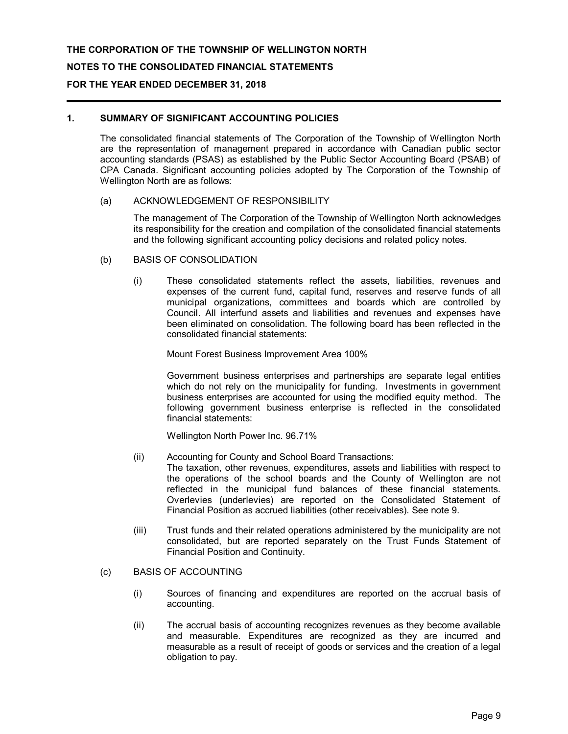# **THE CORPORATION OF THE TOWNSHIP OF WELLINGTON NORTH NOTES TO THE CONSOLIDATED FINANCIAL STATEMENTS FOR THE YEAR ENDED DECEMBER 31, 2018**

## **1. SUMMARY OF SIGNIFICANT ACCOUNTING POLICIES**

The consolidated financial statements of The Corporation of the Township of Wellington North are the representation of management prepared in accordance with Canadian public sector accounting standards (PSAS) as established by the Public Sector Accounting Board (PSAB) of CPA Canada. Significant accounting policies adopted by The Corporation of the Township of Wellington North are as follows:

### (a) ACKNOWLEDGEMENT OF RESPONSIBILITY

The management of The Corporation of the Township of Wellington North acknowledges its responsibility for the creation and compilation of the consolidated financial statements and the following significant accounting policy decisions and related policy notes.

- (b) BASIS OF CONSOLIDATION
	- (i) These consolidated statements reflect the assets, liabilities, revenues and expenses of the current fund, capital fund, reserves and reserve funds of all municipal organizations, committees and boards which are controlled by Council. All interfund assets and liabilities and revenues and expenses have been eliminated on consolidation. The following board has been reflected in the consolidated financial statements:

Mount Forest Business Improvement Area 100%

Government business enterprises and partnerships are separate legal entities which do not rely on the municipality for funding. Investments in government business enterprises are accounted for using the modified equity method. The following government business enterprise is reflected in the consolidated financial statements:

Wellington North Power Inc. 96.71%

(ii) Accounting for County and School Board Transactions:

The taxation, other revenues, expenditures, assets and liabilities with respect to the operations of the school boards and the County of Wellington are not reflected in the municipal fund balances of these financial statements. Overlevies (underlevies) are reported on the Consolidated Statement of Financial Position as accrued liabilities (other receivables). See note 9.

- (iii) Trust funds and their related operations administered by the municipality are not consolidated, but are reported separately on the Trust Funds Statement of Financial Position and Continuity.
- (c) BASIS OF ACCOUNTING
	- (i) Sources of financing and expenditures are reported on the accrual basis of accounting.
	- (ii) The accrual basis of accounting recognizes revenues as they become available and measurable. Expenditures are recognized as they are incurred and measurable as a result of receipt of goods or services and the creation of a legal obligation to pay.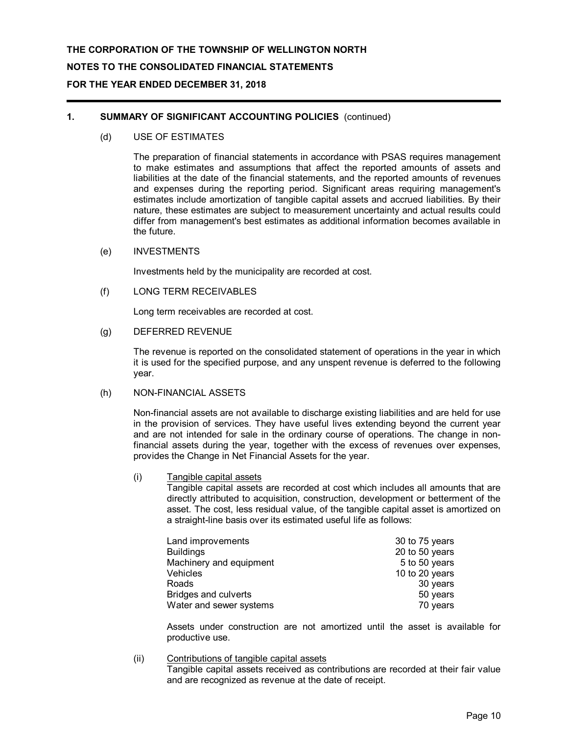# **THE CORPORATION OF THE TOWNSHIP OF WELLINGTON NORTH NOTES TO THE CONSOLIDATED FINANCIAL STATEMENTS FOR THE YEAR ENDED DECEMBER 31, 2018**

## **1. SUMMARY OF SIGNIFICANT ACCOUNTING POLICIES** (continued)

(d) USE OF ESTIMATES

The preparation of financial statements in accordance with PSAS requires management to make estimates and assumptions that affect the reported amounts of assets and liabilities at the date of the financial statements, and the reported amounts of revenues and expenses during the reporting period. Significant areas requiring management's estimates include amortization of tangible capital assets and accrued liabilities. By their nature, these estimates are subject to measurement uncertainty and actual results could differ from management's best estimates as additional information becomes available in the future.

(e) INVESTMENTS

Investments held by the municipality are recorded at cost.

(f) LONG TERM RECEIVABLES

Long term receivables are recorded at cost.

(g) DEFERRED REVENUE

The revenue is reported on the consolidated statement of operations in the year in which it is used for the specified purpose, and any unspent revenue is deferred to the following year.

(h) NON-FINANCIAL ASSETS

Non-financial assets are not available to discharge existing liabilities and are held for use in the provision of services. They have useful lives extending beyond the current year and are not intended for sale in the ordinary course of operations. The change in nonfinancial assets during the year, together with the excess of revenues over expenses, provides the Change in Net Financial Assets for the year.

(i) Tangible capital assets

Tangible capital assets are recorded at cost which includes all amounts that are directly attributed to acquisition, construction, development or betterment of the asset. The cost, less residual value, of the tangible capital asset is amortized on a straight-line basis over its estimated useful life as follows:

| Land improvements           | 30 to 75 years |
|-----------------------------|----------------|
| <b>Buildings</b>            | 20 to 50 years |
| Machinery and equipment     | 5 to 50 years  |
| Vehicles                    | 10 to 20 years |
| Roads                       | 30 years       |
| <b>Bridges and culverts</b> | 50 years       |
| Water and sewer systems     | 70 years       |

Assets under construction are not amortized until the asset is available for productive use.

(ii) Contributions of tangible capital assets

Tangible capital assets received as contributions are recorded at their fair value and are recognized as revenue at the date of receipt.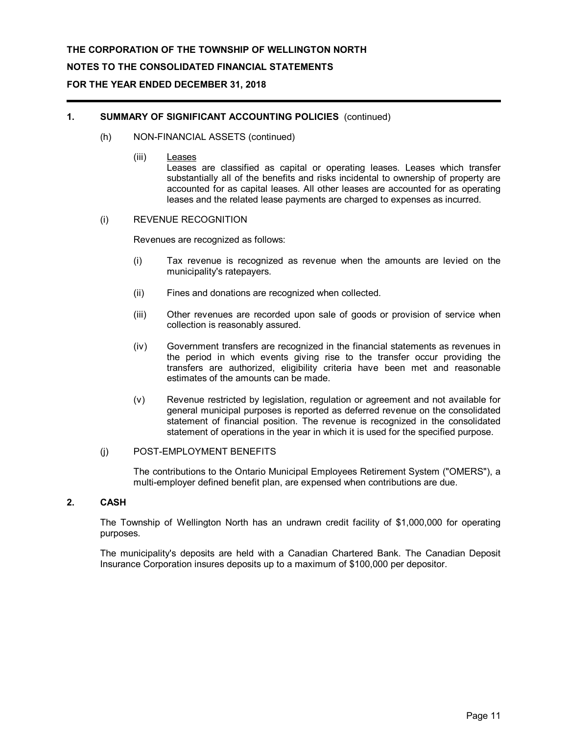# **THE CORPORATION OF THE TOWNSHIP OF WELLINGTON NORTH NOTES TO THE CONSOLIDATED FINANCIAL STATEMENTS FOR THE YEAR ENDED DECEMBER 31, 2018**

## **1. SUMMARY OF SIGNIFICANT ACCOUNTING POLICIES** (continued)

- (h) NON-FINANCIAL ASSETS (continued)
	- (iii) Leases

Leases are classified as capital or operating leases. Leases which transfer substantially all of the benefits and risks incidental to ownership of property are accounted for as capital leases. All other leases are accounted for as operating leases and the related lease payments are charged to expenses as incurred.

### (i) REVENUE RECOGNITION

Revenues are recognized as follows:

- (i) Tax revenue is recognized as revenue when the amounts are levied on the municipality's ratepayers.
- (ii) Fines and donations are recognized when collected.
- (iii) Other revenues are recorded upon sale of goods or provision of service when collection is reasonably assured.
- (iv) Government transfers are recognized in the financial statements as revenues in the period in which events giving rise to the transfer occur providing the transfers are authorized, eligibility criteria have been met and reasonable estimates of the amounts can be made.
- (v) Revenue restricted by legislation, regulation or agreement and not available for general municipal purposes is reported as deferred revenue on the consolidated statement of financial position. The revenue is recognized in the consolidated statement of operations in the year in which it is used for the specified purpose.

### (j) POST-EMPLOYMENT BENEFITS

The contributions to the Ontario Municipal Employees Retirement System ("OMERS"), a multi-employer defined benefit plan, are expensed when contributions are due.

## **2. CASH**

The Township of Wellington North has an undrawn credit facility of \$1,000,000 for operating purposes.

The municipality's deposits are held with a Canadian Chartered Bank. The Canadian Deposit Insurance Corporation insures deposits up to a maximum of \$100,000 per depositor.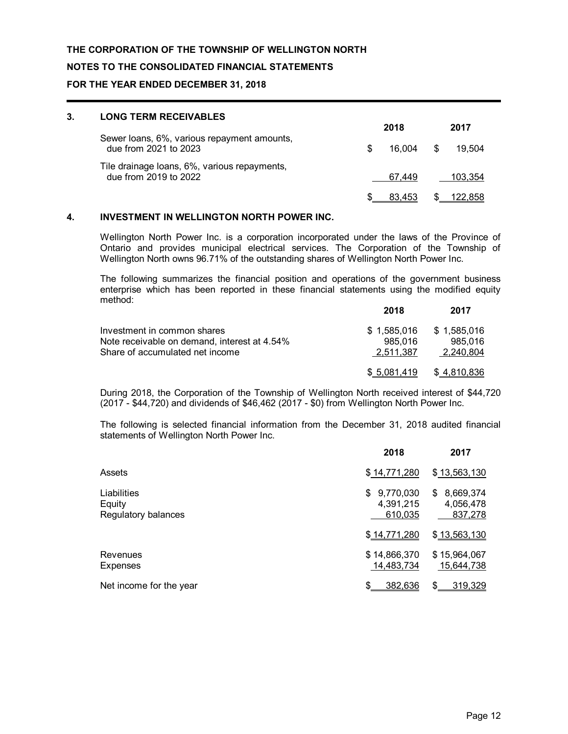## **NOTES TO THE CONSOLIDATED FINANCIAL STATEMENTS**

### **FOR THE YEAR ENDED DECEMBER 31, 2018**

| 3. | <b>LONG TERM RECEIVABLES</b>                                          |        |    |         |  |
|----|-----------------------------------------------------------------------|--------|----|---------|--|
|    |                                                                       | 2018   |    | 2017    |  |
|    | Sewer loans, 6%, various repayment amounts,<br>due from 2021 to 2023  | 16.004 | S. | 19.504  |  |
|    | Tile drainage loans, 6%, various repayments,<br>due from 2019 to 2022 | 67.449 |    | 103.354 |  |
|    |                                                                       | 83.453 |    | 122.858 |  |

## **4. INVESTMENT IN WELLINGTON NORTH POWER INC.**

Wellington North Power Inc. is a corporation incorporated under the laws of the Province of Ontario and provides municipal electrical services. The Corporation of the Township of Wellington North owns 96.71% of the outstanding shares of Wellington North Power Inc.

The following summarizes the financial position and operations of the government business enterprise which has been reported in these financial statements using the modified equity method:

|                                              | 2018        | 2017        |
|----------------------------------------------|-------------|-------------|
| Investment in common shares                  | \$1.585.016 | \$1,585,016 |
| Note receivable on demand, interest at 4.54% | 985.016     | 985.016     |
| Share of accumulated net income              | 2.511.387   | 2.240.804   |
|                                              | \$5.081.419 | \$4,810,836 |

During 2018, the Corporation of the Township of Wellington North received interest of \$44,720 (2017 - \$44,720) and dividends of \$46,462 (2017 - \$0) from Wellington North Power Inc.

The following is selected financial information from the December 31, 2018 audited financial statements of Wellington North Power Inc.

|                                              | 2018                                    | 2017                                    |
|----------------------------------------------|-----------------------------------------|-----------------------------------------|
| Assets                                       | \$14,771,280                            | \$13,563,130                            |
| Liabilities<br>Equity<br>Regulatory balances | 9,770,030<br>\$<br>4,391,215<br>610,035 | 8,669,374<br>\$<br>4,056,478<br>837,278 |
|                                              | \$14,771,280                            | \$13,563,130                            |
| Revenues<br><b>Expenses</b>                  | \$14,866,370<br>14,483,734              | \$15,964,067<br>15,644,738              |
| Net income for the year                      | 382,636<br>\$                           | 319,329<br>\$                           |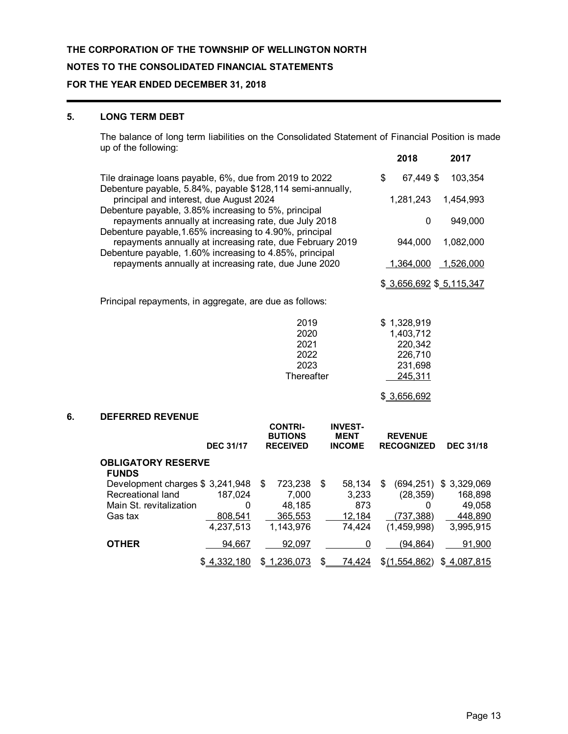## **NOTES TO THE CONSOLIDATED FINANCIAL STATEMENTS**

## **FOR THE YEAR ENDED DECEMBER 31, 2018**

## **5. LONG TERM DEBT**

The balance of long term liabilities on the Consolidated Statement of Financial Position is made up of the following: **2018 2017**

|    |                                                                                                                      |                                     |                                                     |                                                | 2010                                | ZU 17                          |
|----|----------------------------------------------------------------------------------------------------------------------|-------------------------------------|-----------------------------------------------------|------------------------------------------------|-------------------------------------|--------------------------------|
|    | Tile drainage loans payable, 6%, due from 2019 to 2022<br>Debenture payable, 5.84%, payable \$128,114 semi-annually, |                                     | \$<br>67,449 \$                                     | 103,354                                        |                                     |                                |
|    | principal and interest, due August 2024<br>Debenture payable, 3.85% increasing to 5%, principal                      |                                     |                                                     | 1,281,243                                      | 1,454,993                           |                                |
|    | repayments annually at increasing rate, due July 2018<br>Debenture payable, 1.65% increasing to 4.90%, principal     |                                     |                                                     |                                                | $\mathbf{0}$                        | 949,000                        |
|    | repayments annually at increasing rate, due February 2019<br>Debenture payable, 1.60% increasing to 4.85%, principal |                                     |                                                     |                                                | 944,000                             | 1,082,000                      |
|    | repayments annually at increasing rate, due June 2020                                                                |                                     |                                                     |                                                | 1,364,000                           | 1,526,000                      |
|    |                                                                                                                      |                                     |                                                     |                                                | \$ 3,656,692 \$ 5,115,347           |                                |
|    | Principal repayments, in aggregate, are due as follows:                                                              |                                     |                                                     |                                                |                                     |                                |
|    |                                                                                                                      |                                     | 2019<br>2020                                        |                                                | \$1,328,919<br>1,403,712            |                                |
|    |                                                                                                                      |                                     | 2021<br>2022                                        |                                                | 220,342<br>226,710                  |                                |
|    |                                                                                                                      |                                     | 2023<br>Thereafter                                  |                                                | 231,698<br>245,311                  |                                |
|    |                                                                                                                      |                                     |                                                     |                                                | \$ 3,656,692                        |                                |
| 6. | <b>DEFERRED REVENUE</b>                                                                                              |                                     |                                                     |                                                |                                     |                                |
|    |                                                                                                                      | <b>DEC 31/17</b>                    | <b>CONTRI-</b><br><b>BUTIONS</b><br><b>RECEIVED</b> | <b>INVEST-</b><br><b>MENT</b><br><b>INCOME</b> | <b>REVENUE</b><br><b>RECOGNIZED</b> | <b>DEC 31/18</b>               |
|    | <b>OBLIGATORY RESERVE</b><br><b>FUNDS</b>                                                                            |                                     |                                                     |                                                |                                     |                                |
|    | Development charges \$3,241,948<br>Recreational land                                                                 | 187,024                             | 723,238<br>\$<br>7,000                              | 58,134<br>\$<br>3,233                          | (694, 251)<br>\$<br>(28, 359)       | \$3,329,069<br>168,898         |
|    | Main St. revitalization<br>Gas tax                                                                                   | $\mathbf 0$<br>808,541<br>4,237,513 | 48,185<br>365,553<br>1,143,976                      | 873<br>12,184<br>74,424                        | 0<br>(737, 388)<br>(1,459,998)      | 49,058<br>448,890<br>3,995,915 |
|    | <b>OTHER</b>                                                                                                         | 94,667                              | 92,097                                              | 0                                              | (94, 864)                           | 91,900                         |
|    |                                                                                                                      | \$4,332,180                         | \$1,236,073                                         | 74,424<br>\$                                   | \$(1,554,862)                       | \$4,087,815                    |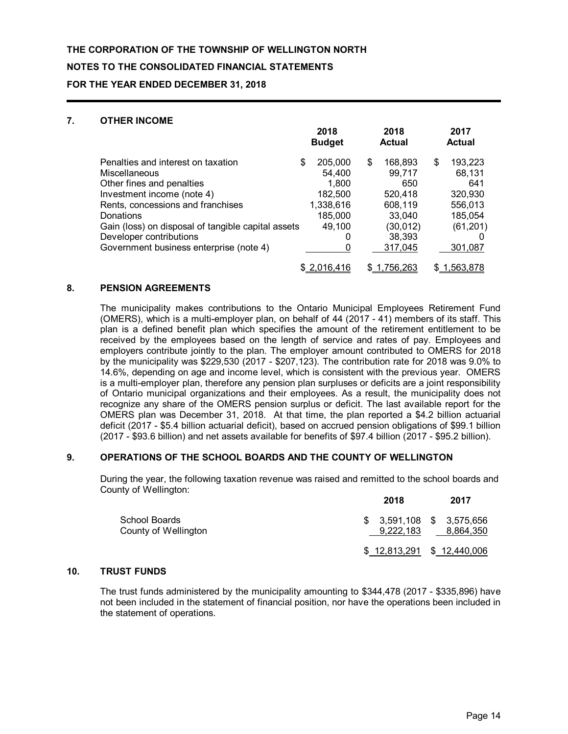## **NOTES TO THE CONSOLIDATED FINANCIAL STATEMENTS**

**FOR THE YEAR ENDED DECEMBER 31, 2018**

## **7. OTHER INCOME**

|                                                                                                                                                                                                                                                                                              | 2018<br><b>Budget</b>                                                                   | 2018<br><b>Actual</b>                                                                           | 2017<br><b>Actual</b>                                                                   |
|----------------------------------------------------------------------------------------------------------------------------------------------------------------------------------------------------------------------------------------------------------------------------------------------|-----------------------------------------------------------------------------------------|-------------------------------------------------------------------------------------------------|-----------------------------------------------------------------------------------------|
| Penalties and interest on taxation<br>Miscellaneous<br>Other fines and penalties<br>Investment income (note 4)<br>Rents, concessions and franchises<br>Donations<br>Gain (loss) on disposal of tangible capital assets<br>Developer contributions<br>Government business enterprise (note 4) | \$<br>205,000<br>54,400<br>1,800<br>182,500<br>1,338,616<br>185,000<br>49,100<br>0<br>0 | \$<br>168,893<br>99,717<br>650<br>520,418<br>608,119<br>33.040<br>(30,012)<br>38,393<br>317,045 | \$<br>193,223<br>68,131<br>641<br>320,930<br>556,013<br>185,054<br>(61, 201)<br>301,087 |
|                                                                                                                                                                                                                                                                                              | \$2,016,416                                                                             | \$1,756,263                                                                                     | \$1,563,878                                                                             |

## **8. PENSION AGREEMENTS**

The municipality makes contributions to the Ontario Municipal Employees Retirement Fund (OMERS), which is a multi-employer plan, on behalf of 44 (2017 - 41) members of its staff. This plan is a defined benefit plan which specifies the amount of the retirement entitlement to be received by the employees based on the length of service and rates of pay. Employees and employers contribute jointly to the plan. The employer amount contributed to OMERS for 2018 by the municipality was \$229,530 (2017 - \$207,123). The contribution rate for 2018 was 9.0% to 14.6%, depending on age and income level, which is consistent with the previous year. OMERS is a multi-employer plan, therefore any pension plan surpluses or deficits are a joint responsibility of Ontario municipal organizations and their employees. As a result, the municipality does not recognize any share of the OMERS pension surplus or deficit. The last available report for the OMERS plan was December 31, 2018. At that time, the plan reported a \$4.2 billion actuarial deficit (2017 - \$5.4 billion actuarial deficit), based on accrued pension obligations of \$99.1 billion (2017 - \$93.6 billion) and net assets available for benefits of \$97.4 billion (2017 - \$95.2 billion).

### **9. OPERATIONS OF THE SCHOOL BOARDS AND THE COUNTY OF WELLINGTON**

During the year, the following taxation revenue was raised and remitted to the school boards and County of Wellington:

|                                       | 2018      | 2017                                   |
|---------------------------------------|-----------|----------------------------------------|
| School Boards<br>County of Wellington | 9.222.183 | $$3,591,108$ $$3,575,656$<br>8,864,350 |
|                                       |           | $$12,813,291$ $$12,440,006$            |

## **10. TRUST FUNDS**

The trust funds administered by the municipality amounting to \$344,478 (2017 - \$335,896) have not been included in the statement of financial position, nor have the operations been included in the statement of operations.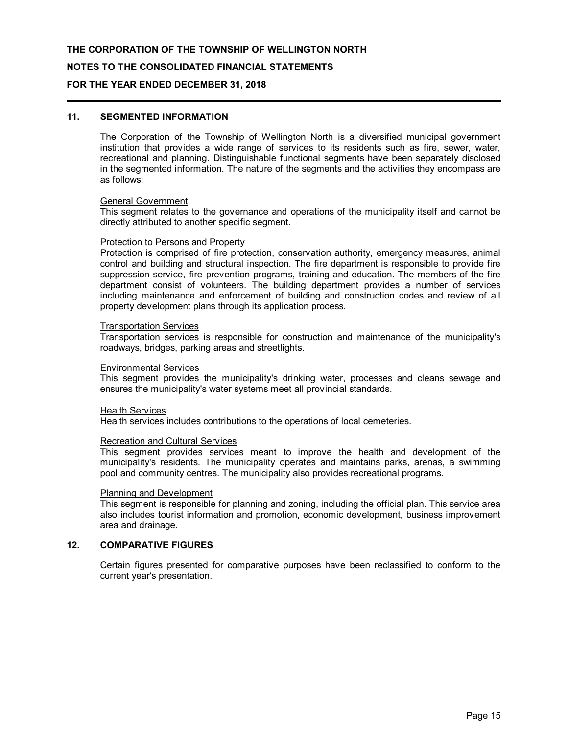#### **NOTES TO THE CONSOLIDATED FINANCIAL STATEMENTS**

### **FOR THE YEAR ENDED DECEMBER 31, 2018**

## **11. SEGMENTED INFORMATION**

The Corporation of the Township of Wellington North is a diversified municipal government institution that provides a wide range of services to its residents such as fire, sewer, water, recreational and planning. Distinguishable functional segments have been separately disclosed in the segmented information. The nature of the segments and the activities they encompass are as follows:

#### General Government

This segment relates to the governance and operations of the municipality itself and cannot be directly attributed to another specific segment.

#### Protection to Persons and Property

Protection is comprised of fire protection, conservation authority, emergency measures, animal control and building and structural inspection. The fire department is responsible to provide fire suppression service, fire prevention programs, training and education. The members of the fire department consist of volunteers. The building department provides a number of services including maintenance and enforcement of building and construction codes and review of all property development plans through its application process.

#### Transportation Services

Transportation services is responsible for construction and maintenance of the municipality's roadways, bridges, parking areas and streetlights.

#### Environmental Services

This segment provides the municipality's drinking water, processes and cleans sewage and ensures the municipality's water systems meet all provincial standards.

#### Health Services

Health services includes contributions to the operations of local cemeteries.

#### Recreation and Cultural Services

This segment provides services meant to improve the health and development of the municipality's residents. The municipality operates and maintains parks, arenas, a swimming pool and community centres. The municipality also provides recreational programs.

#### Planning and Development

This segment is responsible for planning and zoning, including the official plan. This service area also includes tourist information and promotion, economic development, business improvement area and drainage.

## **12. COMPARATIVE FIGURES**

Certain figures presented for comparative purposes have been reclassified to conform to the current year's presentation.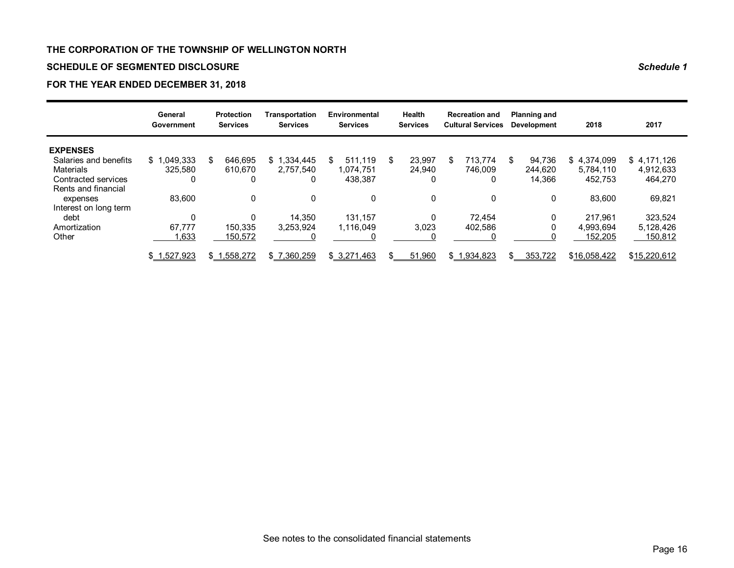## **SCHEDULE OF SEGMENTED DISCLOSURE** *Schedule 1*

## **FOR THE YEAR ENDED DECEMBER 31, 2018**

|                       | General<br>Government |     | <b>Protection</b><br><b>Services</b> | Transportation<br><b>Services</b> | Environmental<br><b>Services</b> |    | <b>Health</b><br><b>Services</b> |   | <b>Recreation and</b><br><b>Cultural Services</b> |     | <b>Planning and</b><br><b>Development</b> | 2018         | 2017         |
|-----------------------|-----------------------|-----|--------------------------------------|-----------------------------------|----------------------------------|----|----------------------------------|---|---------------------------------------------------|-----|-------------------------------------------|--------------|--------------|
| <b>EXPENSES</b>       |                       |     |                                      |                                   |                                  |    |                                  |   |                                                   |     |                                           |              |              |
| Salaries and benefits | \$1,049,333           | S.  | 646.695                              | 1.334.445<br>\$1                  | \$<br>511.119                    | S. | 23.997                           | S | 713.774                                           | \$. | 94.736                                    | \$4.374.099  | \$4,171,126  |
| <b>Materials</b>      | 325.580               |     | 610.670                              | 2.757.540                         | 1.074.751                        |    | 24.940                           |   | 746.009                                           |     | 244,620                                   | 5.784.110    | 4,912,633    |
| Contracted services   | 0                     |     | 0                                    |                                   | 438,387                          |    | 0                                |   | 0                                                 |     | 14,366                                    | 452,753      | 464,270      |
| Rents and financial   |                       |     |                                      |                                   |                                  |    |                                  |   |                                                   |     |                                           |              |              |
| expenses              | 83,600                |     | 0                                    |                                   | 0                                |    | 0                                |   | 0                                                 |     | 0                                         | 83,600       | 69,821       |
| Interest on long term |                       |     |                                      |                                   |                                  |    |                                  |   |                                                   |     |                                           |              |              |
| debt                  | $\Omega$              |     | 0                                    | 14.350                            | 131.157                          |    |                                  |   | 72.454                                            |     | 0                                         | 217.961      | 323.524      |
| Amortization          | 67.777                |     | 150.335                              | 3,253,924                         | 1.116.049                        |    | 3,023                            |   | 402.586                                           |     |                                           | 4.993.694    | 5,128,426    |
| Other                 | ,633                  |     | 150,572                              |                                   |                                  |    |                                  |   |                                                   |     |                                           | 152,205      | 150,812      |
|                       | \$1,527,923           | \$1 | .558,272                             | \$7,360,259                       | \$3,271,463                      | \$ | 51,960                           |   | \$1,934,823                                       |     | 353,722                                   | \$16,058,422 | \$15,220,612 |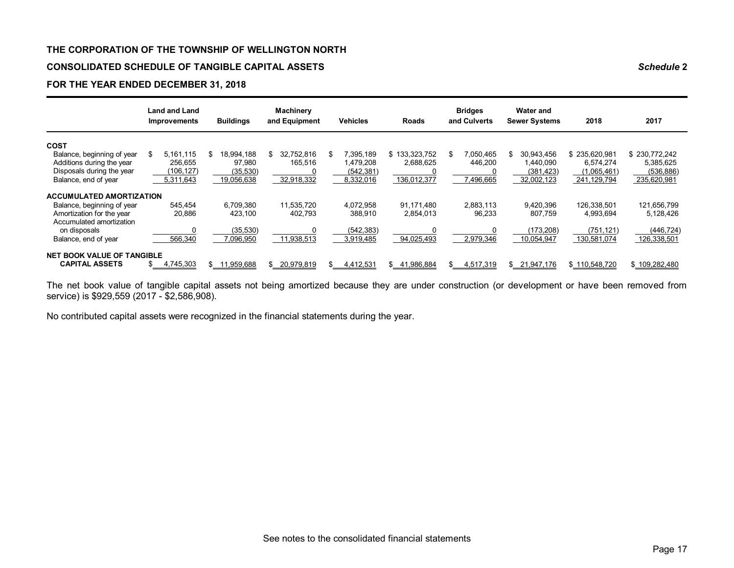## **CONSOLIDATED SCHEDULE OF TANGIBLE CAPITAL ASSETS** *Schedule* **2**

## **FOR THE YEAR ENDED DECEMBER 31, 2018**

|                                   |     | <b>Land and Land</b><br><b>Improvements</b> | <b>Buildings</b> | <b>Machinery</b><br>and Equipment | <b>Vehicles</b> | Roads            | <b>Bridges</b><br>and Culverts | <b>Water and</b><br><b>Sewer Systems</b> | 2018          | 2017          |
|-----------------------------------|-----|---------------------------------------------|------------------|-----------------------------------|-----------------|------------------|--------------------------------|------------------------------------------|---------------|---------------|
| <b>COST</b>                       |     |                                             |                  |                                   |                 |                  |                                |                                          |               |               |
| Balance, beginning of year        | \$  | 5.161.115                                   | \$<br>18,994,188 | \$<br>32,752,816                  | \$<br>7,395,189 | \$133,323,752    | \$<br>7,050,465                | \$<br>30,943,456                         | \$235,620,981 | \$230,772,242 |
| Additions during the year         |     | 256.655                                     | 97,980           | 165,516                           | 1,479,208       | 2,688,625        | 446,200                        | 1.440.090                                | 6.574.274     | 5,385,625     |
| Disposals during the year         |     | (106,127)                                   | (35,530)         |                                   | (542, 381)      |                  | 0                              | (381, 423)                               | (1,065,461)   | (536, 886)    |
| Balance, end of year              |     | 5,311,643                                   | 19,056,638       | 32,918,332                        | 8,332,016       | 136,012,377      | 496,665                        | 32,002,123                               | 241,129,794   | 235,620,981   |
| <b>ACCUMULATED AMORTIZATION</b>   |     |                                             |                  |                                   |                 |                  |                                |                                          |               |               |
| Balance, beginning of year        |     | 545.454                                     | 6.709.380        | 11.535.720                        | 4.072.958       | 91.171.480       | 2.883.113                      | 9.420.396                                | 126.338.501   | 121,656,799   |
| Amortization for the year         |     | 20,886                                      | 423,100          | 402,793                           | 388,910         | 2,854,013        | 96,233                         | 807.759                                  | 4,993,694     | 5,128,426     |
| Accumulated amortization          |     |                                             |                  |                                   |                 |                  |                                |                                          |               |               |
| on disposals                      |     |                                             | (35, 530)        |                                   | (542, 383)      |                  |                                | (173,208)                                | (751, 121)    | (446, 724)    |
| Balance, end of year              |     | 566,340                                     | 7,096,950        | 11,938,513                        | 3,919,485       | 94,025,493       | 2,979,346                      | 10,054,947                               | 130,581,074   | 126,338,501   |
| <b>NET BOOK VALUE OF TANGIBLE</b> |     |                                             |                  |                                   |                 |                  |                                |                                          |               |               |
| <b>CAPITAL ASSETS</b>             | \$. | 4,745,303                                   | \$<br>11,959,688 | \$<br>20,979,819                  | \$<br>4,412,531 | \$<br>41,986,884 | \$<br>4,517,319                | \$<br>21,947,176                         | \$110,548,720 | \$109,282,480 |

The net book value of tangible capital assets not being amortized because they are under construction (or development or have been removed from service) is \$929,559 (2017 - \$2,586,908).

No contributed capital assets were recognized in the financial statements during the year.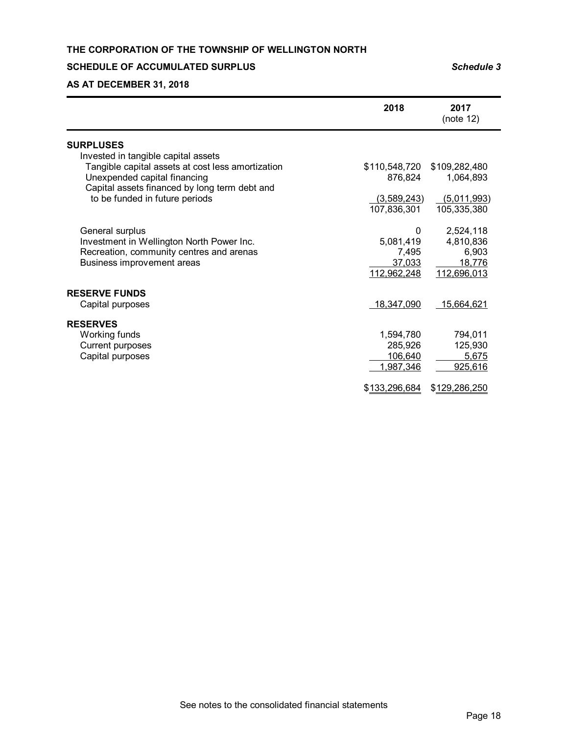## **SCHEDULE OF ACCUMULATED SURPLUS** *Schedule 3*

# **AS AT DECEMBER 31, 2018**

|                                                   | 2018          | 2017<br>(note 12) |
|---------------------------------------------------|---------------|-------------------|
| <b>SURPLUSES</b>                                  |               |                   |
| Invested in tangible capital assets               |               |                   |
| Tangible capital assets at cost less amortization | \$110,548,720 | \$109,282,480     |
| Unexpended capital financing                      | 876,824       | 1,064,893         |
| Capital assets financed by long term debt and     |               |                   |
| to be funded in future periods                    | (3,589,243)   | (5,011,993)       |
|                                                   | 107,836,301   | 105,335,380       |
|                                                   |               |                   |
| General surplus                                   | 0             | 2,524,118         |
| Investment in Wellington North Power Inc.         | 5,081,419     | 4,810,836         |
| Recreation, community centres and arenas          | 7,495         | 6,903             |
| Business improvement areas                        | 37,033        | 18,776            |
|                                                   | 112,962,248   | 112,696,013       |
| <b>RESERVE FUNDS</b>                              |               |                   |
| Capital purposes                                  | 18,347,090    | 15,664,621        |
|                                                   |               |                   |
| <b>RESERVES</b>                                   |               |                   |
| Working funds                                     | 1,594,780     | 794,011           |
| <b>Current purposes</b>                           | 285,926       | 125,930           |
| Capital purposes                                  | 106,640       | 5,675             |
|                                                   | 1,987,346     | 925,616           |
|                                                   |               |                   |
|                                                   | \$133,296,684 | \$129,286,250     |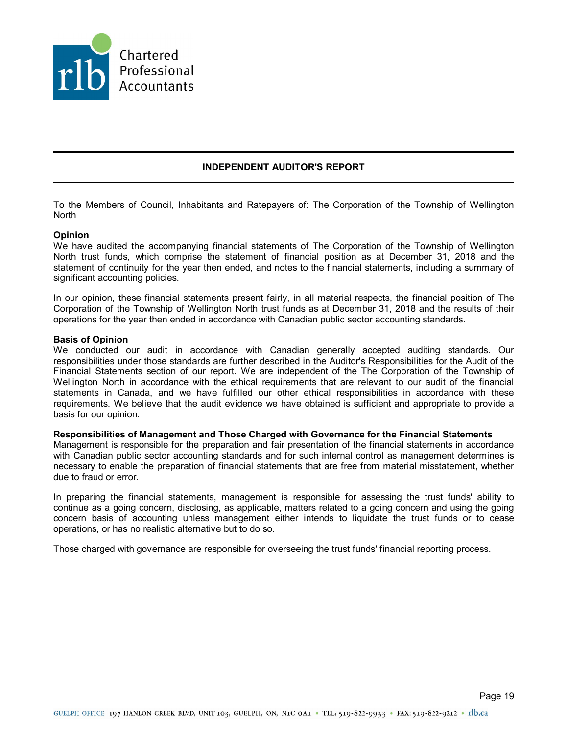

## **INDEPENDENT AUDITOR'S REPORT**

To the Members of Council, Inhabitants and Ratepayers of: The Corporation of the Township of Wellington North

### **Opinion**

We have audited the accompanying financial statements of The Corporation of the Township of Wellington North trust funds, which comprise the statement of financial position as at December 31, 2018 and the statement of continuity for the year then ended, and notes to the financial statements, including a summary of significant accounting policies.

In our opinion, these financial statements present fairly, in all material respects, the financial position of The Corporation of the Township of Wellington North trust funds as at December 31, 2018 and the results of their operations for the year then ended in accordance with Canadian public sector accounting standards.

#### **Basis of Opinion**

We conducted our audit in accordance with Canadian generally accepted auditing standards. Our responsibilities under those standards are further described in the Auditor's Responsibilities for the Audit of the Financial Statements section of our report. We are independent of the The Corporation of the Township of Wellington North in accordance with the ethical requirements that are relevant to our audit of the financial statements in Canada, and we have fulfilled our other ethical responsibilities in accordance with these requirements. We believe that the audit evidence we have obtained is sufficient and appropriate to provide a basis for our opinion.

#### **Responsibilities of Management and Those Charged with Governance for the Financial Statements**

Management is responsible for the preparation and fair presentation of the financial statements in accordance with Canadian public sector accounting standards and for such internal control as management determines is necessary to enable the preparation of financial statements that are free from material misstatement, whether due to fraud or error.

In preparing the financial statements, management is responsible for assessing the trust funds' ability to continue as a going concern, disclosing, as applicable, matters related to a going concern and using the going concern basis of accounting unless management either intends to liquidate the trust funds or to cease operations, or has no realistic alternative but to do so.

Those charged with governance are responsible for overseeing the trust funds' financial reporting process.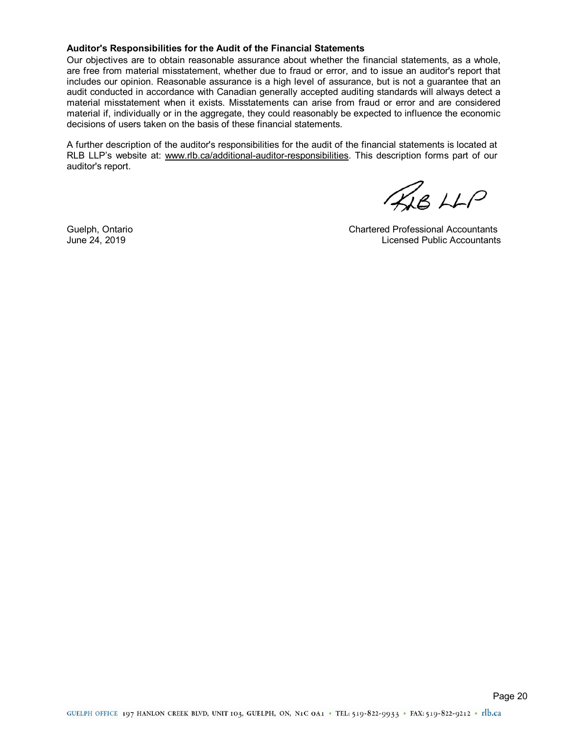#### **Auditor's Responsibilities for the Audit of the Financial Statements**

Our objectives are to obtain reasonable assurance about whether the financial statements, as a whole, are free from material misstatement, whether due to fraud or error, and to issue an auditor's report that includes our opinion. Reasonable assurance is a high level of assurance, but is not a guarantee that an audit conducted in accordance with Canadian generally accepted auditing standards will always detect a material misstatement when it exists. Misstatements can arise from fraud or error and are considered material if, individually or in the aggregate, they could reasonably be expected to influence the economic decisions of users taken on the basis of these financial statements.

A further description of the auditor's responsibilities for the audit of the financial statements is located at RLB LLP's website at: www.rlb.ca/additional-auditor-responsibilities. This description forms part of our auditor's report.

KAB LLP

Guelph, Ontario Chartered Professional Accountants June 24, 2019 Licensed Public Accountants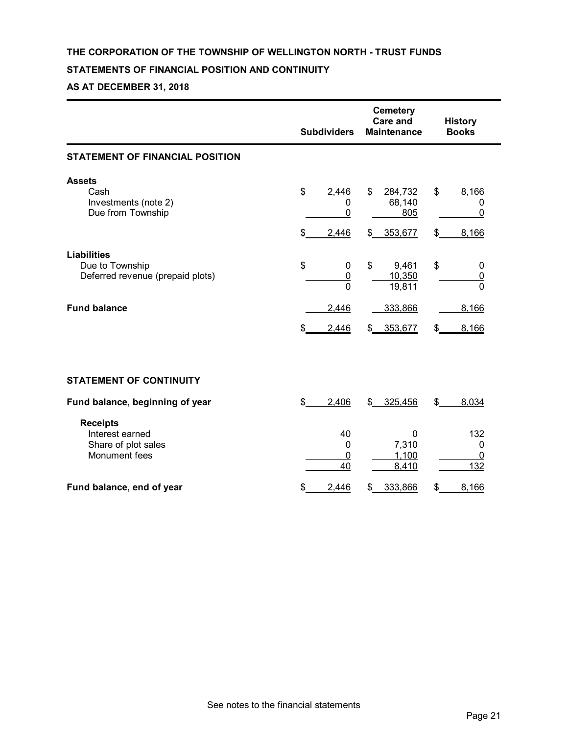## **THE CORPORATION OF THE TOWNSHIP OF WELLINGTON NORTH - TRUST FUNDS**

## **STATEMENTS OF FINANCIAL POSITION AND CONTINUITY**

## **AS AT DECEMBER 31, 2018**

|                                                                            | <b>Subdividers</b>                             | <b>Cemetery</b><br><b>Care and</b><br><b>Maintenance</b> | <b>History</b><br><b>Books</b>                  |
|----------------------------------------------------------------------------|------------------------------------------------|----------------------------------------------------------|-------------------------------------------------|
| <b>STATEMENT OF FINANCIAL POSITION</b>                                     |                                                |                                                          |                                                 |
| <b>Assets</b><br>Cash<br>Investments (note 2)<br>Due from Township         | \$<br>2,446<br>0<br>$\mathbf 0$<br>\$<br>2,446 | \$<br>284,732<br>68,140<br>805<br>\$ 353,677             | \$<br>8,166<br>0<br>$\mathbf{0}$<br>\$<br>8,166 |
| <b>Liabilities</b><br>Due to Township<br>Deferred revenue (prepaid plots)  | \$<br>0<br>$\overline{0}$<br>$\mathbf{0}$      | \$<br>9,461<br>10,350<br>19,811                          | \$<br>0<br>0<br>$\Omega$                        |
| <b>Fund balance</b>                                                        | 2,446<br>\$<br>2,446                           | 333,866<br>353,677<br>\$                                 | 8,166<br>8,166<br>\$                            |
|                                                                            |                                                |                                                          |                                                 |
| <b>STATEMENT OF CONTINUITY</b>                                             |                                                |                                                          |                                                 |
| Fund balance, beginning of year                                            | \$<br>2,406                                    | 325,456<br>\$                                            | \$<br>8,034                                     |
| <b>Receipts</b><br>Interest earned<br>Share of plot sales<br>Monument fees | 40<br>0<br>0<br>40                             | 0<br>7,310<br>1,100<br>8,410                             | 132<br>0<br>0<br>132                            |
| Fund balance, end of year                                                  | 2,446<br>\$                                    | \$<br>333,866                                            | \$<br>8,166                                     |